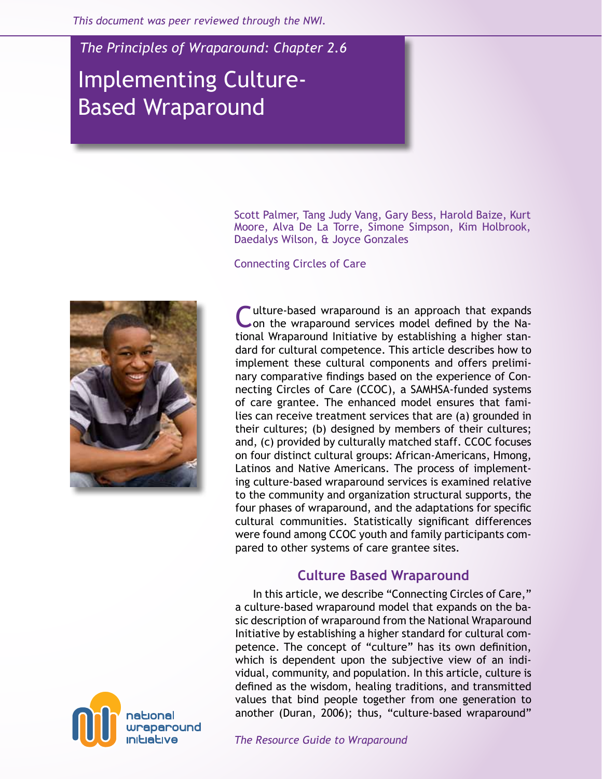*This document was peer reviewed through the NWI.* 

*The Principles of Wraparound: Chapter 2.6*

# Implementing Culture-Based Wraparound

Scott Palmer, Tang Judy Vang, Gary Bess, Harold Baize, Kurt Moore, Alva De La Torre, Simone Simpson, Kim Holbrook, Daedalys Wilson, & Joyce Gonzales

Connecting Circles of Care



Culture-based wraparound is an approach that expands on the wraparound services model defined by the National Wraparound Initiative by establishing a higher standard for cultural competence. This article describes how to implement these cultural components and offers preliminary comparative findings based on the experience of Connecting Circles of Care (CCOC), a SAMHSA-funded systems of care grantee. The enhanced model ensures that families can receive treatment services that are (a) grounded in their cultures; (b) designed by members of their cultures; and, (c) provided by culturally matched staff. CCOC focuses on four distinct cultural groups: African-Americans, Hmong, Latinos and Native Americans. The process of implementing culture-based wraparound services is examined relative to the community and organization structural supports, the four phases of wraparound, and the adaptations for specific cultural communities. Statistically significant differences were found among CCOC youth and family participants compared to other systems of care grantee sites.

# **Culture Based Wraparound**

In this article, we describe "Connecting Circles of Care," a culture-based wraparound model that expands on the basic description of wraparound from the National Wraparound Initiative by establishing a higher standard for cultural competence. The concept of "culture" has its own definition, which is dependent upon the subjective view of an individual, community, and population. In this article, culture is defined as the wisdom, healing traditions, and transmitted values that bind people together from one generation to another (Duran, 2006); thus, "culture-based wraparound"

national wraparound

*The Resource Guide to Wraparound*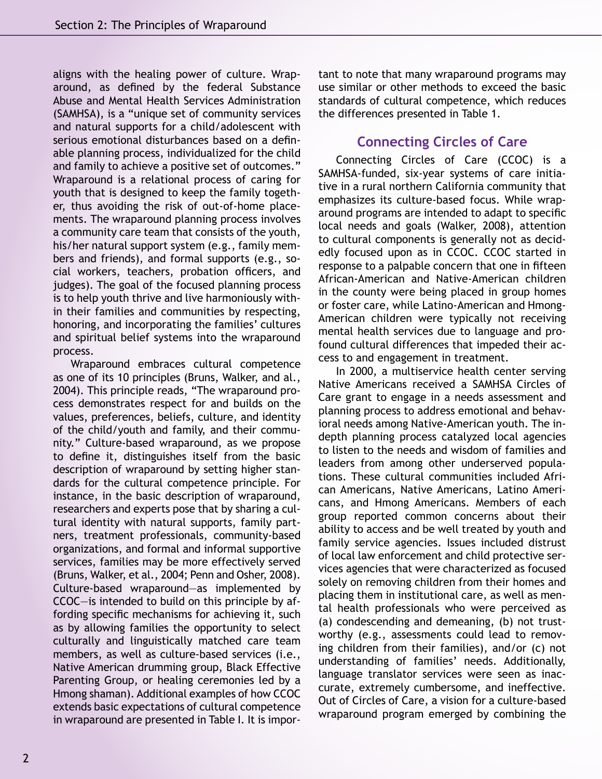aligns with the healing power of culture. Wraparound, as defined by the federal Substance Abuse and Mental Health Services Administration (SAMHSA), is a "unique set of community services and natural supports for a child/adolescent with serious emotional disturbances based on a definable planning process, individualized for the child and family to achieve a positive set of outcomes." Wraparound is a relational process of caring for youth that is designed to keep the family together, thus avoiding the risk of out-of-home placements. The wraparound planning process involves a community care team that consists of the youth, his/her natural support system (e.g., family members and friends), and formal supports (e.g., social workers, teachers, probation officers, and judges). The goal of the focused planning process is to help youth thrive and live harmoniously within their families and communities by respecting, honoring, and incorporating the families' cultures and spiritual belief systems into the wraparound process.

Wraparound embraces cultural competence as one of its 10 principles (Bruns, Walker, and al., 2004). This principle reads, "The wraparound process demonstrates respect for and builds on the values, preferences, beliefs, culture, and identity of the child/youth and family, and their community." Culture-based wraparound, as we propose to define it, distinguishes itself from the basic description of wraparound by setting higher standards for the cultural competence principle. For instance, in the basic description of wraparound, researchers and experts pose that by sharing a cultural identity with natural supports, family partners, treatment professionals, community-based organizations, and formal and informal supportive services, families may be more effectively served (Bruns, Walker, et al., 2004; Penn and Osher, 2008). Culture-based wraparound—as implemented by CCOC—is intended to build on this principle by affording specific mechanisms for achieving it, such as by allowing families the opportunity to select culturally and linguistically matched care team members, as well as culture-based services (i.e., Native American drumming group, Black Effective Parenting Group, or healing ceremonies led by a Hmong shaman). Additional examples of how CCOC extends basic expectations of cultural competence in wraparound are presented in Table I. It is important to note that many wraparound programs may use similar or other methods to exceed the basic standards of cultural competence, which reduces the differences presented in Table 1.

# **Connecting Circles of Care**

Connecting Circles of Care (CCOC) is a SAMHSA-funded, six-year systems of care initiative in a rural northern California community that emphasizes its culture-based focus. While wraparound programs are intended to adapt to specific local needs and goals (Walker, 2008), attention to cultural components is generally not as decidedly focused upon as in CCOC. CCOC started in response to a palpable concern that one in fifteen African-American and Native-American children in the county were being placed in group homes or foster care, while Latino-American and Hmong-American children were typically not receiving mental health services due to language and profound cultural differences that impeded their access to and engagement in treatment.

In 2000, a multiservice health center serving Native Americans received a SAMHSA Circles of Care grant to engage in a needs assessment and planning process to address emotional and behavioral needs among Native-American youth. The indepth planning process catalyzed local agencies to listen to the needs and wisdom of families and leaders from among other underserved populations. These cultural communities included African Americans, Native Americans, Latino Americans, and Hmong Americans. Members of each group reported common concerns about their ability to access and be well treated by youth and family service agencies. Issues included distrust of local law enforcement and child protective services agencies that were characterized as focused solely on removing children from their homes and placing them in institutional care, as well as mental health professionals who were perceived as (a) condescending and demeaning, (b) not trustworthy (e.g., assessments could lead to removing children from their families), and/or (c) not understanding of families' needs. Additionally, language translator services were seen as inaccurate, extremely cumbersome, and ineffective. Out of Circles of Care, a vision for a culture-based wraparound program emerged by combining the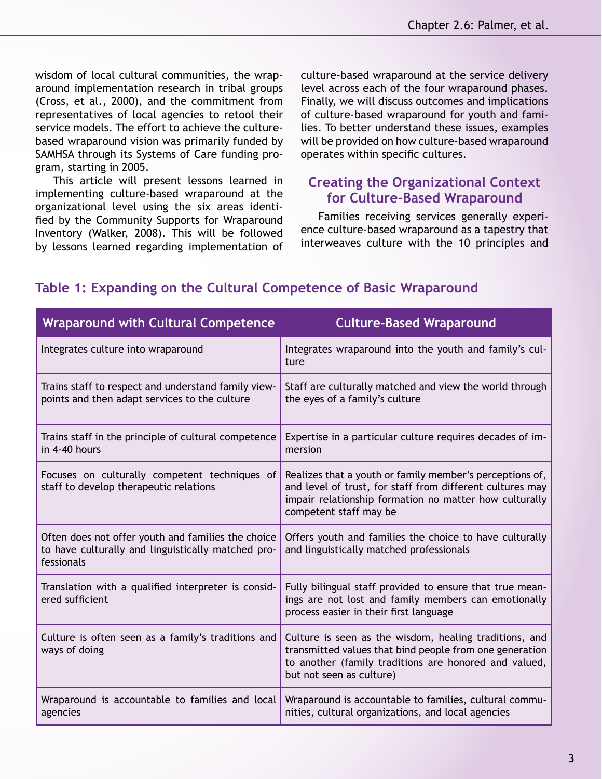wisdom of local cultural communities, the wraparound implementation research in tribal groups (Cross, et al., 2000), and the commitment from representatives of local agencies to retool their service models. The effort to achieve the culturebased wraparound vision was primarily funded by SAMHSA through its Systems of Care funding program, starting in 2005.

This article will present lessons learned in implementing culture-based wraparound at the organizational level using the six areas identified by the Community Supports for Wraparound Inventory (Walker, 2008). This will be followed by lessons learned regarding implementation of culture-based wraparound at the service delivery level across each of the four wraparound phases. Finally, we will discuss outcomes and implications of culture-based wraparound for youth and families. To better understand these issues, examples will be provided on how culture-based wraparound operates within specific cultures.

# **Creating the Organizational Context for Culture-Based Wraparound**

Families receiving services generally experience culture-based wraparound as a tapestry that interweaves culture with the 10 principles and

| <b>Wraparound with Cultural Competence</b>                                                                             | <b>Culture-Based Wraparound</b>                                                                                                                                                                           |
|------------------------------------------------------------------------------------------------------------------------|-----------------------------------------------------------------------------------------------------------------------------------------------------------------------------------------------------------|
| Integrates culture into wraparound                                                                                     | Integrates wraparound into the youth and family's cul-<br>ture                                                                                                                                            |
| Trains staff to respect and understand family view-<br>points and then adapt services to the culture                   | Staff are culturally matched and view the world through<br>the eyes of a family's culture                                                                                                                 |
| Trains staff in the principle of cultural competence<br>in 4-40 hours                                                  | Expertise in a particular culture requires decades of im-<br>mersion                                                                                                                                      |
| Focuses on culturally competent techniques of<br>staff to develop therapeutic relations                                | Realizes that a youth or family member's perceptions of,<br>and level of trust, for staff from different cultures may<br>impair relationship formation no matter how culturally<br>competent staff may be |
| Often does not offer youth and families the choice<br>to have culturally and linguistically matched pro-<br>fessionals | Offers youth and families the choice to have culturally<br>and linguistically matched professionals                                                                                                       |
| Translation with a qualified interpreter is consid-<br>ered sufficient                                                 | Fully bilingual staff provided to ensure that true mean-<br>ings are not lost and family members can emotionally<br>process easier in their first language                                                |
| Culture is often seen as a family's traditions and<br>ways of doing                                                    | Culture is seen as the wisdom, healing traditions, and<br>transmitted values that bind people from one generation<br>to another (family traditions are honored and valued,<br>but not seen as culture)    |
| Wraparound is accountable to families and local<br>agencies                                                            | Wraparound is accountable to families, cultural commu-<br>nities, cultural organizations, and local agencies                                                                                              |

# **Table 1: Expanding on the Cultural Competence of Basic Wraparound**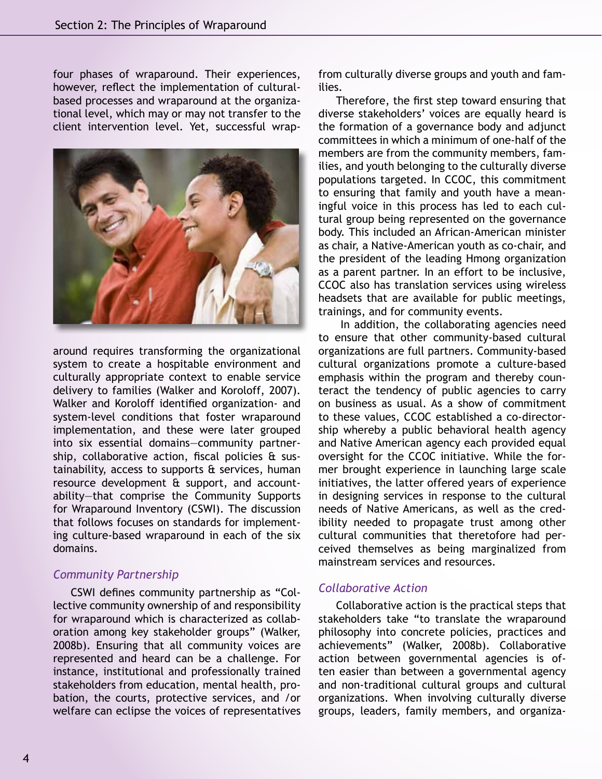four phases of wraparound. Their experiences, however, reflect the implementation of culturalbased processes and wraparound at the organizational level, which may or may not transfer to the client intervention level. Yet, successful wrap-



around requires transforming the organizational system to create a hospitable environment and culturally appropriate context to enable service delivery to families (Walker and Koroloff, 2007). Walker and Koroloff identified organization- and system-level conditions that foster wraparound implementation, and these were later grouped into six essential domains—community partnership, collaborative action, fiscal policies & sustainability, access to supports & services, human resource development & support, and accountability—that comprise the Community Supports for Wraparound Inventory (CSWI). The discussion that follows focuses on standards for implementing culture-based wraparound in each of the six domains.

## *Community Partnership*

CSWI defines community partnership as "Collective community ownership of and responsibility for wraparound which is characterized as collaboration among key stakeholder groups" (Walker, 2008b). Ensuring that all community voices are represented and heard can be a challenge. For instance, institutional and professionally trained stakeholders from education, mental health, probation, the courts, protective services, and /or welfare can eclipse the voices of representatives

from culturally diverse groups and youth and families.

Therefore, the first step toward ensuring that diverse stakeholders' voices are equally heard is the formation of a governance body and adjunct committees in which a minimum of one-half of the members are from the community members, families, and youth belonging to the culturally diverse populations targeted. In CCOC, this commitment to ensuring that family and youth have a meaningful voice in this process has led to each cultural group being represented on the governance body. This included an African-American minister as chair, a Native-American youth as co-chair, and the president of the leading Hmong organization as a parent partner. In an effort to be inclusive, CCOC also has translation services using wireless headsets that are available for public meetings, trainings, and for community events.

 In addition, the collaborating agencies need to ensure that other community-based cultural organizations are full partners. Community-based cultural organizations promote a culture-based emphasis within the program and thereby counteract the tendency of public agencies to carry on business as usual. As a show of commitment to these values, CCOC established a co-directorship whereby a public behavioral health agency and Native American agency each provided equal oversight for the CCOC initiative. While the former brought experience in launching large scale initiatives, the latter offered years of experience in designing services in response to the cultural needs of Native Americans, as well as the credibility needed to propagate trust among other cultural communities that theretofore had perceived themselves as being marginalized from mainstream services and resources.

#### *Collaborative Action*

Collaborative action is the practical steps that stakeholders take "to translate the wraparound philosophy into concrete policies, practices and achievements" (Walker, 2008b). Collaborative action between governmental agencies is often easier than between a governmental agency and non-traditional cultural groups and cultural organizations. When involving culturally diverse groups, leaders, family members, and organiza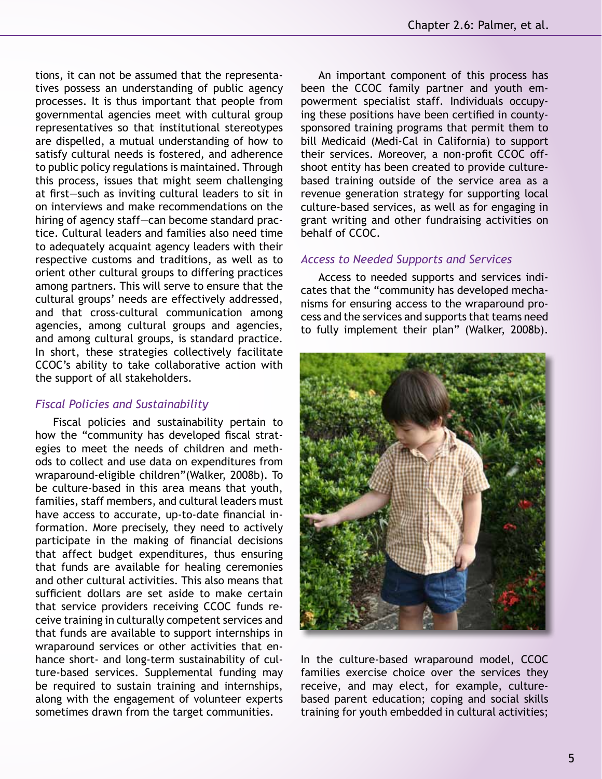tions, it can not be assumed that the representatives possess an understanding of public agency processes. It is thus important that people from governmental agencies meet with cultural group representatives so that institutional stereotypes are dispelled, a mutual understanding of how to satisfy cultural needs is fostered, and adherence to public policy regulations is maintained. Through this process, issues that might seem challenging at first—such as inviting cultural leaders to sit in on interviews and make recommendations on the hiring of agency staff—can become standard practice. Cultural leaders and families also need time to adequately acquaint agency leaders with their respective customs and traditions, as well as to orient other cultural groups to differing practices among partners. This will serve to ensure that the cultural groups' needs are effectively addressed, and that cross-cultural communication among agencies, among cultural groups and agencies, and among cultural groups, is standard practice. In short, these strategies collectively facilitate CCOC's ability to take collaborative action with the support of all stakeholders.

## *Fiscal Policies and Sustainability*

Fiscal policies and sustainability pertain to how the "community has developed fiscal strategies to meet the needs of children and methods to collect and use data on expenditures from wraparound-eligible children"(Walker, 2008b). To be culture-based in this area means that youth, families, staff members, and cultural leaders must have access to accurate, up-to-date financial information. More precisely, they need to actively participate in the making of financial decisions that affect budget expenditures, thus ensuring that funds are available for healing ceremonies and other cultural activities. This also means that sufficient dollars are set aside to make certain that service providers receiving CCOC funds receive training in culturally competent services and that funds are available to support internships in wraparound services or other activities that enhance short- and long-term sustainability of culture-based services. Supplemental funding may be required to sustain training and internships, along with the engagement of volunteer experts sometimes drawn from the target communities.

An important component of this process has been the CCOC family partner and youth empowerment specialist staff. Individuals occupying these positions have been certified in countysponsored training programs that permit them to bill Medicaid (Medi-Cal in California) to support their services. Moreover, a non-profit CCOC offshoot entity has been created to provide culturebased training outside of the service area as a revenue generation strategy for supporting local culture-based services, as well as for engaging in grant writing and other fundraising activities on behalf of CCOC.

#### *Access to Needed Supports and Services*

Access to needed supports and services indicates that the "community has developed mechanisms for ensuring access to the wraparound process and the services and supports that teams need to fully implement their plan" (Walker, 2008b).



In the culture-based wraparound model, CCOC families exercise choice over the services they receive, and may elect, for example, culturebased parent education; coping and social skills training for youth embedded in cultural activities;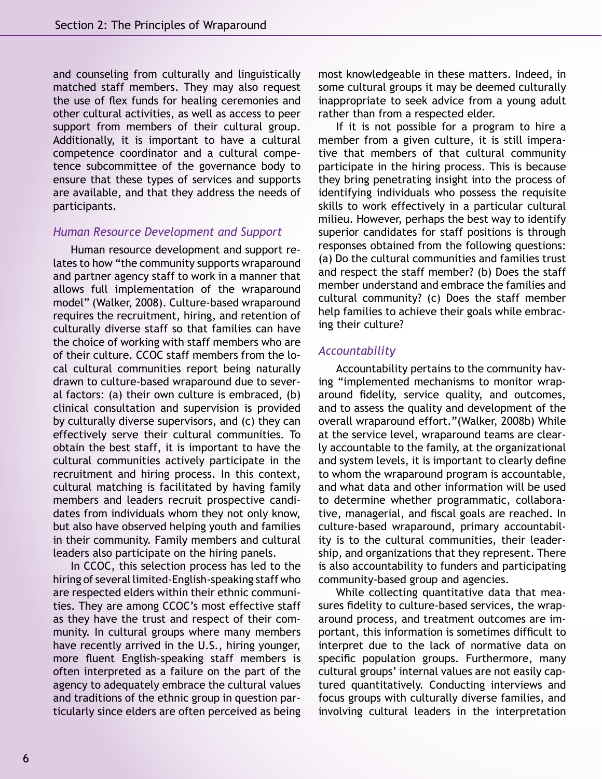and counseling from culturally and linguistically matched staff members. They may also request the use of flex funds for healing ceremonies and other cultural activities, as well as access to peer support from members of their cultural group. Additionally, it is important to have a cultural competence coordinator and a cultural competence subcommittee of the governance body to ensure that these types of services and supports are available, and that they address the needs of participants.

#### *Human Resource Development and Support*

Human resource development and support relates to how "the community supports wraparound and partner agency staff to work in a manner that allows full implementation of the wraparound model" (Walker, 2008). Culture-based wraparound requires the recruitment, hiring, and retention of culturally diverse staff so that families can have the choice of working with staff members who are of their culture. CCOC staff members from the local cultural communities report being naturally drawn to culture-based wraparound due to several factors: (a) their own culture is embraced, (b) clinical consultation and supervision is provided by culturally diverse supervisors, and (c) they can effectively serve their cultural communities. To obtain the best staff, it is important to have the cultural communities actively participate in the recruitment and hiring process. In this context, cultural matching is facilitated by having family members and leaders recruit prospective candidates from individuals whom they not only know, but also have observed helping youth and families in their community. Family members and cultural leaders also participate on the hiring panels.

In CCOC, this selection process has led to the hiring of several limited-English-speaking staff who are respected elders within their ethnic communities. They are among CCOC's most effective staff as they have the trust and respect of their community. In cultural groups where many members have recently arrived in the U.S., hiring younger, more fluent English-speaking staff members is often interpreted as a failure on the part of the agency to adequately embrace the cultural values and traditions of the ethnic group in question particularly since elders are often perceived as being most knowledgeable in these matters. Indeed, in some cultural groups it may be deemed culturally inappropriate to seek advice from a young adult rather than from a respected elder.

If it is not possible for a program to hire a member from a given culture, it is still imperative that members of that cultural community participate in the hiring process. This is because they bring penetrating insight into the process of identifying individuals who possess the requisite skills to work effectively in a particular cultural milieu. However, perhaps the best way to identify superior candidates for staff positions is through responses obtained from the following questions: (a) Do the cultural communities and families trust and respect the staff member? (b) Does the staff member understand and embrace the families and cultural community? (c) Does the staff member help families to achieve their goals while embracing their culture?

#### *Accountability*

Accountability pertains to the community having "implemented mechanisms to monitor wraparound fidelity, service quality, and outcomes, and to assess the quality and development of the overall wraparound effort."(Walker, 2008b) While at the service level, wraparound teams are clearly accountable to the family, at the organizational and system levels, it is important to clearly define to whom the wraparound program is accountable, and what data and other information will be used to determine whether programmatic, collaborative, managerial, and fiscal goals are reached. In culture-based wraparound, primary accountability is to the cultural communities, their leadership, and organizations that they represent. There is also accountability to funders and participating community-based group and agencies.

While collecting quantitative data that measures fidelity to culture-based services, the wraparound process, and treatment outcomes are important, this information is sometimes difficult to interpret due to the lack of normative data on specific population groups. Furthermore, many cultural groups' internal values are not easily captured quantitatively. Conducting interviews and focus groups with culturally diverse families, and involving cultural leaders in the interpretation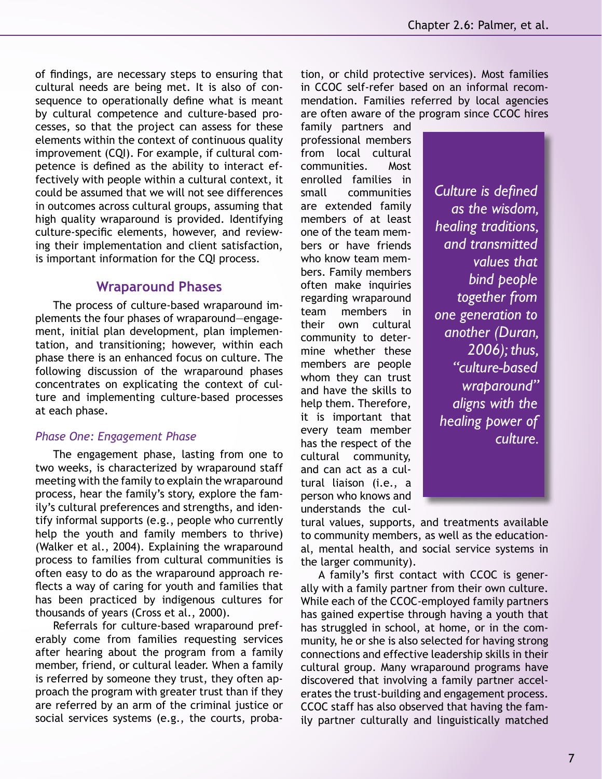of findings, are necessary steps to ensuring that cultural needs are being met. It is also of consequence to operationally define what is meant by cultural competence and culture-based processes, so that the project can assess for these elements within the context of continuous quality improvement (CQI). For example, if cultural competence is defined as the ability to interact effectively with people within a cultural context, it could be assumed that we will not see differences in outcomes across cultural groups, assuming that high quality wraparound is provided. Identifying culture-specific elements, however, and reviewing their implementation and client satisfaction, is important information for the CQI process.

# **Wraparound Phases**

The process of culture-based wraparound implements the four phases of wraparound—engagement, initial plan development, plan implementation, and transitioning; however, within each phase there is an enhanced focus on culture. The following discussion of the wraparound phases concentrates on explicating the context of culture and implementing culture-based processes at each phase.

#### *Phase One: Engagement Phase*

The engagement phase, lasting from one to two weeks, is characterized by wraparound staff meeting with the family to explain the wraparound process, hear the family's story, explore the family's cultural preferences and strengths, and identify informal supports (e.g., people who currently help the youth and family members to thrive) (Walker et al., 2004). Explaining the wraparound process to families from cultural communities is often easy to do as the wraparound approach reflects a way of caring for youth and families that has been practiced by indigenous cultures for thousands of years (Cross et al., 2000).

Referrals for culture-based wraparound preferably come from families requesting services after hearing about the program from a family member, friend, or cultural leader. When a family is referred by someone they trust, they often approach the program with greater trust than if they are referred by an arm of the criminal justice or social services systems (e.g., the courts, probation, or child protective services). Most families in CCOC self-refer based on an informal recommendation. Families referred by local agencies are often aware of the program since CCOC hires

family partners and professional members from local cultural communities. Most enrolled families in small communities are extended family members of at least one of the team members or have friends who know team members. Family members often make inquiries regarding wraparound team members in their own cultural community to determine whether these members are people whom they can trust and have the skills to help them. Therefore, it is important that every team member has the respect of the cultural community, and can act as a cultural liaison (i.e., a person who knows and understands the cul-

*Culture is defined as the wisdom, healing traditions, and transmitted values that bind people together from one generation to another (Duran, 2006); thus, "culture-based wraparound" aligns with the healing power of culture.* 

tural values, supports, and treatments available to community members, as well as the educational, mental health, and social service systems in the larger community).

A family's first contact with CCOC is generally with a family partner from their own culture. While each of the CCOC-employed family partners has gained expertise through having a youth that has struggled in school, at home, or in the community, he or she is also selected for having strong connections and effective leadership skills in their cultural group. Many wraparound programs have discovered that involving a family partner accelerates the trust-building and engagement process. CCOC staff has also observed that having the family partner culturally and linguistically matched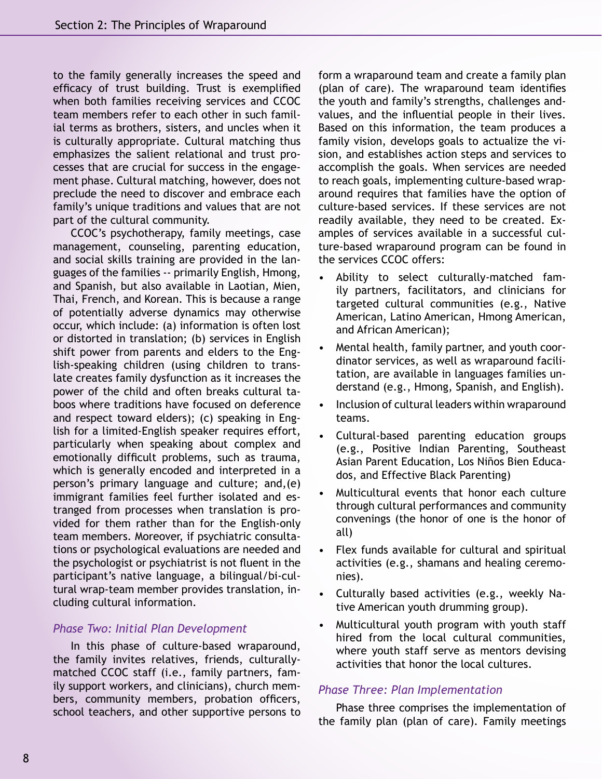to the family generally increases the speed and efficacy of trust building. Trust is exemplified when both families receiving services and CCOC team members refer to each other in such familial terms as brothers, sisters, and uncles when it is culturally appropriate. Cultural matching thus emphasizes the salient relational and trust processes that are crucial for success in the engagement phase. Cultural matching, however, does not preclude the need to discover and embrace each family's unique traditions and values that are not part of the cultural community.

CCOC's psychotherapy, family meetings, case management, counseling, parenting education, and social skills training are provided in the languages of the families -- primarily English, Hmong, and Spanish, but also available in Laotian, Mien, Thai, French, and Korean. This is because a range of potentially adverse dynamics may otherwise occur, which include: (a) information is often lost or distorted in translation; (b) services in English shift power from parents and elders to the English-speaking children (using children to translate creates family dysfunction as it increases the power of the child and often breaks cultural taboos where traditions have focused on deference and respect toward elders); (c) speaking in English for a limited-English speaker requires effort, particularly when speaking about complex and emotionally difficult problems, such as trauma, which is generally encoded and interpreted in a person's primary language and culture; and,(e) immigrant families feel further isolated and estranged from processes when translation is provided for them rather than for the English-only team members. Moreover, if psychiatric consultations or psychological evaluations are needed and the psychologist or psychiatrist is not fluent in the participant's native language, a bilingual/bi-cultural wrap-team member provides translation, including cultural information.

## *Phase Two: Initial Plan Development*

In this phase of culture-based wraparound, the family invites relatives, friends, culturallymatched CCOC staff (i.e., family partners, family support workers, and clinicians), church members, community members, probation officers, school teachers, and other supportive persons to form a wraparound team and create a family plan (plan of care). The wraparound team identifies the youth and family's strengths, challenges andvalues, and the influential people in their lives. Based on this information, the team produces a family vision, develops goals to actualize the vision, and establishes action steps and services to accomplish the goals. When services are needed to reach goals, implementing culture-based wraparound requires that families have the option of culture-based services. If these services are not readily available, they need to be created. Examples of services available in a successful culture-based wraparound program can be found in the services CCOC offers:

- Ability to select culturally-matched family partners, facilitators, and clinicians for targeted cultural communities (e.g., Native American, Latino American, Hmong American, and African American);
- Mental health, family partner, and youth coordinator services, as well as wraparound facilitation, are available in languages families understand (e.g., Hmong, Spanish, and English).
- Inclusion of cultural leaders within wraparound teams.
- Cultural-based parenting education groups (e.g., Positive Indian Parenting, Southeast Asian Parent Education, Los Niños Bien Educados, and Effective Black Parenting)
- Multicultural events that honor each culture through cultural performances and community convenings (the honor of one is the honor of all)
- Flex funds available for cultural and spiritual activities (e.g., shamans and healing ceremonies).
- Culturally based activities (e.g., weekly Native American youth drumming group).
- Multicultural youth program with youth staff hired from the local cultural communities, where youth staff serve as mentors devising activities that honor the local cultures.

# *Phase Three: Plan Implementation*

Phase three comprises the implementation of the family plan (plan of care). Family meetings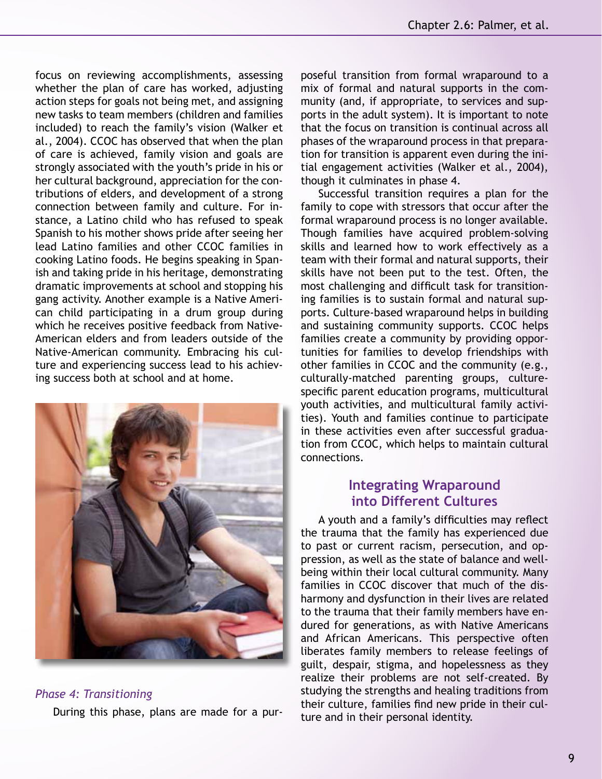focus on reviewing accomplishments, assessing whether the plan of care has worked, adjusting action steps for goals not being met, and assigning new tasks to team members (children and families included) to reach the family's vision (Walker et al., 2004). CCOC has observed that when the plan of care is achieved, family vision and goals are strongly associated with the youth's pride in his or her cultural background, appreciation for the contributions of elders, and development of a strong connection between family and culture. For instance, a Latino child who has refused to speak Spanish to his mother shows pride after seeing her lead Latino families and other CCOC families in cooking Latino foods. He begins speaking in Spanish and taking pride in his heritage, demonstrating dramatic improvements at school and stopping his gang activity. Another example is a Native American child participating in a drum group during which he receives positive feedback from Native-American elders and from leaders outside of the Native-American community. Embracing his culture and experiencing success lead to his achieving success both at school and at home.



#### *Phase 4: Transitioning*

During this phase, plans are made for a pur-

poseful transition from formal wraparound to a mix of formal and natural supports in the community (and, if appropriate, to services and supports in the adult system). It is important to note that the focus on transition is continual across all phases of the wraparound process in that preparation for transition is apparent even during the initial engagement activities (Walker et al., 2004), though it culminates in phase 4.

Successful transition requires a plan for the family to cope with stressors that occur after the formal wraparound process is no longer available. Though families have acquired problem-solving skills and learned how to work effectively as a team with their formal and natural supports, their skills have not been put to the test. Often, the most challenging and difficult task for transitioning families is to sustain formal and natural supports. Culture-based wraparound helps in building and sustaining community supports. CCOC helps families create a community by providing opportunities for families to develop friendships with other families in CCOC and the community (e.g., culturally-matched parenting groups, culturespecific parent education programs, multicultural youth activities, and multicultural family activities). Youth and families continue to participate in these activities even after successful graduation from CCOC, which helps to maintain cultural connections.

# **Integrating Wraparound into Different Cultures**

A youth and a family's difficulties may reflect the trauma that the family has experienced due to past or current racism, persecution, and oppression, as well as the state of balance and wellbeing within their local cultural community. Many families in CCOC discover that much of the disharmony and dysfunction in their lives are related to the trauma that their family members have endured for generations, as with Native Americans and African Americans. This perspective often liberates family members to release feelings of guilt, despair, stigma, and hopelessness as they realize their problems are not self-created. By studying the strengths and healing traditions from their culture, families find new pride in their culture and in their personal identity.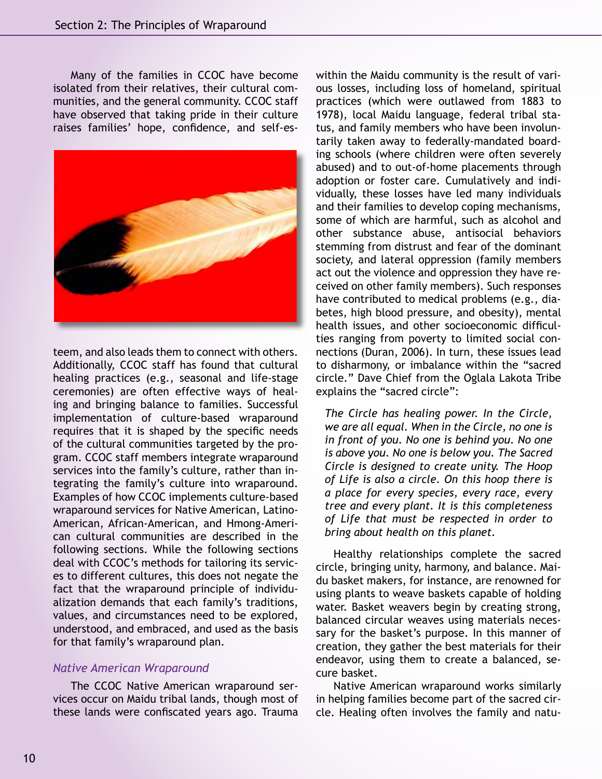Many of the families in CCOC have become isolated from their relatives, their cultural communities, and the general community. CCOC staff have observed that taking pride in their culture raises families' hope, confidence, and self-es-



teem, and also leads them to connect with others. Additionally, CCOC staff has found that cultural healing practices (e.g., seasonal and life-stage ceremonies) are often effective ways of healing and bringing balance to families. Successful implementation of culture-based wraparound requires that it is shaped by the specific needs of the cultural communities targeted by the program. CCOC staff members integrate wraparound services into the family's culture, rather than integrating the family's culture into wraparound. Examples of how CCOC implements culture-based wraparound services for Native American, Latino-American, African-American, and Hmong-American cultural communities are described in the following sections. While the following sections deal with CCOC's methods for tailoring its services to different cultures, this does not negate the fact that the wraparound principle of individualization demands that each family's traditions, values, and circumstances need to be explored, understood, and embraced, and used as the basis for that family's wraparound plan.

## *Native American Wraparound*

The CCOC Native American wraparound services occur on Maidu tribal lands, though most of these lands were confiscated years ago. Trauma

within the Maidu community is the result of various losses, including loss of homeland, spiritual practices (which were outlawed from 1883 to 1978), local Maidu language, federal tribal status, and family members who have been involuntarily taken away to federally-mandated boarding schools (where children were often severely abused) and to out-of-home placements through adoption or foster care. Cumulatively and individually, these losses have led many individuals and their families to develop coping mechanisms, some of which are harmful, such as alcohol and other substance abuse, antisocial behaviors stemming from distrust and fear of the dominant society, and lateral oppression (family members act out the violence and oppression they have received on other family members). Such responses have contributed to medical problems (e.g., diabetes, high blood pressure, and obesity), mental health issues, and other socioeconomic difficulties ranging from poverty to limited social connections (Duran, 2006). In turn, these issues lead to disharmony, or imbalance within the "sacred circle." Dave Chief from the Oglala Lakota Tribe explains the "sacred circle":

*The Circle has healing power. In the Circle, we are all equal. When in the Circle, no one is in front of you. No one is behind you. No one is above you. No one is below you. The Sacred Circle is designed to create unity. The Hoop of Life is also a circle. On this hoop there is a place for every species, every race, every tree and every plant. It is this completeness of Life that must be respected in order to bring about health on this planet.*

Healthy relationships complete the sacred circle, bringing unity, harmony, and balance. Maidu basket makers, for instance, are renowned for using plants to weave baskets capable of holding water. Basket weavers begin by creating strong, balanced circular weaves using materials necessary for the basket's purpose. In this manner of creation, they gather the best materials for their endeavor, using them to create a balanced, secure basket.

Native American wraparound works similarly in helping families become part of the sacred circle. Healing often involves the family and natu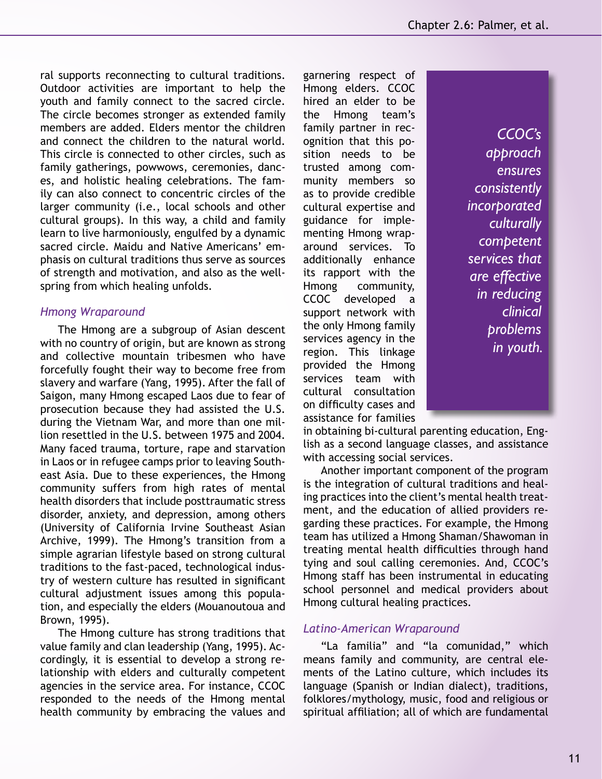ral supports reconnecting to cultural traditions. Outdoor activities are important to help the youth and family connect to the sacred circle. The circle becomes stronger as extended family members are added. Elders mentor the children and connect the children to the natural world. This circle is connected to other circles, such as family gatherings, powwows, ceremonies, dances, and holistic healing celebrations. The family can also connect to concentric circles of the larger community (i.e., local schools and other cultural groups). In this way, a child and family learn to live harmoniously, engulfed by a dynamic sacred circle. Maidu and Native Americans' emphasis on cultural traditions thus serve as sources of strength and motivation, and also as the wellspring from which healing unfolds.

## *Hmong Wraparound*

The Hmong are a subgroup of Asian descent with no country of origin, but are known as strong and collective mountain tribesmen who have forcefully fought their way to become free from slavery and warfare (Yang, 1995). After the fall of Saigon, many Hmong escaped Laos due to fear of prosecution because they had assisted the U.S. during the Vietnam War, and more than one million resettled in the U.S. between 1975 and 2004. Many faced trauma, torture, rape and starvation in Laos or in refugee camps prior to leaving Southeast Asia. Due to these experiences, the Hmong community suffers from high rates of mental health disorders that include posttraumatic stress disorder, anxiety, and depression, among others (University of California Irvine Southeast Asian Archive, 1999). The Hmong's transition from a simple agrarian lifestyle based on strong cultural traditions to the fast-paced, technological industry of western culture has resulted in significant cultural adjustment issues among this population, and especially the elders (Mouanoutoua and Brown, 1995).

The Hmong culture has strong traditions that value family and clan leadership (Yang, 1995). Accordingly, it is essential to develop a strong relationship with elders and culturally competent agencies in the service area. For instance, CCOC responded to the needs of the Hmong mental health community by embracing the values and garnering respect of Hmong elders. CCOC hired an elder to be the Hmong team's family partner in recognition that this position needs to be trusted among community members so as to provide credible cultural expertise and guidance for implementing Hmong wraparound services. To additionally enhance its rapport with the Hmong community, CCOC developed a support network with the only Hmong family services agency in the region. This linkage provided the Hmong services team with cultural consultation on difficulty cases and assistance for families

*CCOC's approach ensures consistently incorporated culturally competent services that are effective in reducing clinical problems in youth.*

in obtaining bi-cultural parenting education, English as a second language classes, and assistance with accessing social services.

Another important component of the program is the integration of cultural traditions and healing practices into the client's mental health treatment, and the education of allied providers regarding these practices. For example, the Hmong team has utilized a Hmong Shaman/Shawoman in treating mental health difficulties through hand tying and soul calling ceremonies. And, CCOC's Hmong staff has been instrumental in educating school personnel and medical providers about Hmong cultural healing practices.

## *Latino-American Wraparound*

"La familia" and "la comunidad," which means family and community, are central elements of the Latino culture, which includes its language (Spanish or Indian dialect), traditions, folklores/mythology, music, food and religious or spiritual affiliation; all of which are fundamental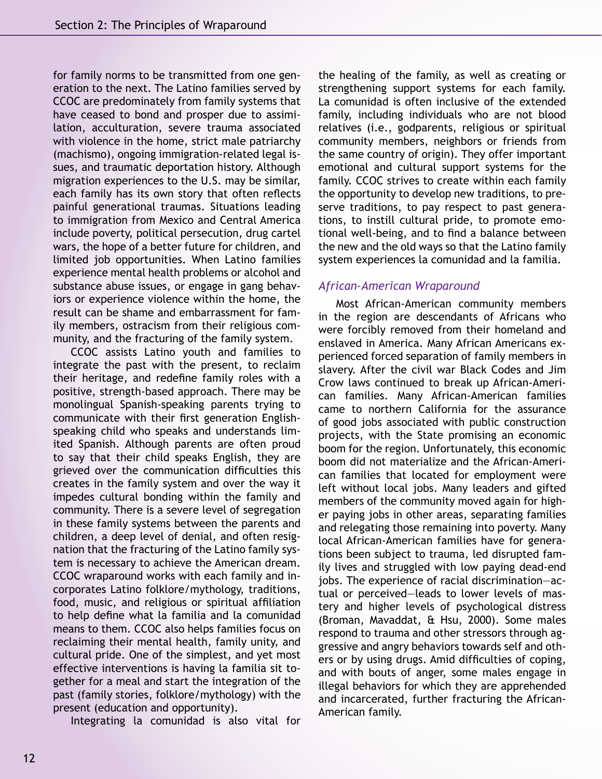for family norms to be transmitted from one generation to the next. The Latino families served by CCOC are predominately from family systems that have ceased to bond and prosper due to assimilation, acculturation, severe trauma associated with violence in the home, strict male patriarchy (machismo), ongoing immigration-related legal issues, and traumatic deportation history. Although migration experiences to the U.S. may be similar, each family has its own story that often reflects painful generational traumas. Situations leading to immigration from Mexico and Central America include poverty, political persecution, drug cartel wars, the hope of a better future for children, and limited job opportunities. When Latino families experience mental health problems or alcohol and substance abuse issues, or engage in gang behaviors or experience violence within the home, the result can be shame and embarrassment for family members, ostracism from their religious community, and the fracturing of the family system.

CCOC assists Latino youth and families to integrate the past with the present, to reclaim their heritage, and redefine family roles with a positive, strength-based approach. There may be monolingual Spanish-speaking parents trying to communicate with their first generation Englishspeaking child who speaks and understands limited Spanish. Although parents are often proud to say that their child speaks English, they are grieved over the communication difficulties this creates in the family system and over the way it impedes cultural bonding within the family and community. There is a severe level of segregation in these family systems between the parents and children, a deep level of denial, and often resignation that the fracturing of the Latino family system is necessary to achieve the American dream. CCOC wraparound works with each family and incorporates Latino folklore/mythology, traditions, food, music, and religious or spiritual affiliation to help define what la familia and la comunidad means to them. CCOC also helps families focus on reclaiming their mental health, family unity, and cultural pride. One of the simplest, and yet most effective interventions is having la familia sit together for a meal and start the integration of the past (family stories, folklore/mythology) with the present (education and opportunity).

Integrating la comunidad is also vital for

the healing of the family, as well as creating or strengthening support systems for each family. La comunidad is often inclusive of the extended family, including individuals who are not blood relatives (i.e., godparents, religious or spiritual community members, neighbors or friends from the same country of origin). They offer important emotional and cultural support systems for the family. CCOC strives to create within each family the opportunity to develop new traditions, to preserve traditions, to pay respect to past generations, to instill cultural pride, to promote emotional well-being, and to find a balance between the new and the old ways so that the Latino family system experiences la comunidad and la familia.

## *African-American Wraparound*

Most African-American community members in the region are descendants of Africans who were forcibly removed from their homeland and enslaved in America. Many African Americans experienced forced separation of family members in slavery. After the civil war Black Codes and Jim Crow laws continued to break up African-American families. Many African-American families came to northern California for the assurance of good jobs associated with public construction projects, with the State promising an economic boom for the region. Unfortunately, this economic boom did not materialize and the African-American families that located for employment were left without local jobs. Many leaders and gifted members of the community moved again for higher paying jobs in other areas, separating families and relegating those remaining into poverty. Many local African-American families have for generations been subject to trauma, led disrupted family lives and struggled with low paying dead-end jobs. The experience of racial discrimination—actual or perceived—leads to lower levels of mastery and higher levels of psychological distress (Broman, Mavaddat, & Hsu, 2000). Some males respond to trauma and other stressors through aggressive and angry behaviors towards self and others or by using drugs. Amid difficulties of coping, and with bouts of anger, some males engage in illegal behaviors for which they are apprehended and incarcerated, further fracturing the African-American family.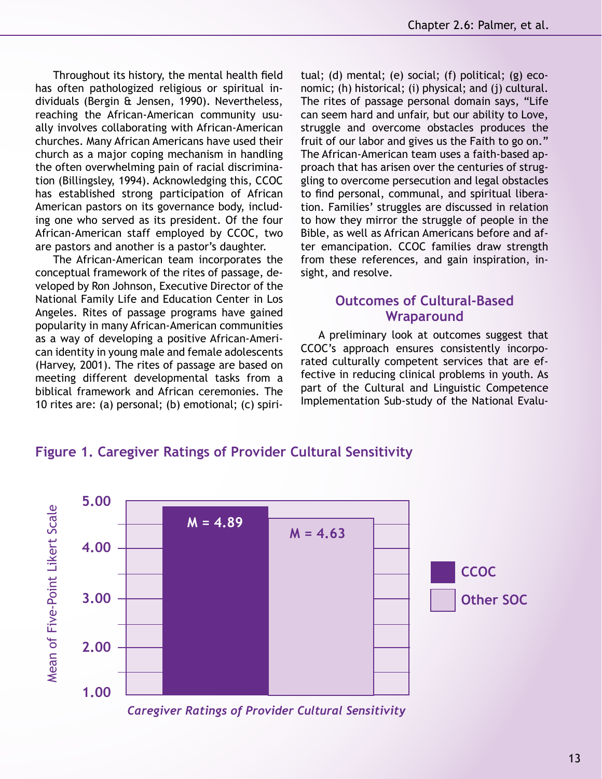Throughout its history, the mental health field has often pathologized religious or spiritual individuals (Bergin & Jensen, 1990). Nevertheless, reaching the African-American community usually involves collaborating with African-American churches. Many African Americans have used their church as a major coping mechanism in handling the often overwhelming pain of racial discrimination (Billingsley, 1994). Acknowledging this, CCOC has established strong participation of African American pastors on its governance body, including one who served as its president. Of the four African-American staff employed by CCOC, two are pastors and another is a pastor's daughter.

The African-American team incorporates the conceptual framework of the rites of passage, developed by Ron Johnson, Executive Director of the National Family Life and Education Center in Los Angeles. Rites of passage programs have gained popularity in many African-American communities as a way of developing a positive African-American identity in young male and female adolescents (Harvey, 2001). The rites of passage are based on meeting different developmental tasks from a biblical framework and African ceremonies. The 10 rites are: (a) personal; (b) emotional; (c) spiritual; (d) mental; (e) social; (f) political; (g) economic; (h) historical; (i) physical; and (j) cultural. The rites of passage personal domain says, "Life can seem hard and unfair, but our ability to Love, struggle and overcome obstacles produces the fruit of our labor and gives us the Faith to go on." The African-American team uses a faith-based approach that has arisen over the centuries of struggling to overcome persecution and legal obstacles to find personal, communal, and spiritual liberation. Families' struggles are discussed in relation to how they mirror the struggle of people in the Bible, as well as African Americans before and after emancipation. CCOC families draw strength from these references, and gain inspiration, insight, and resolve.

# **Outcomes of Cultural-Based Wraparound**

A preliminary look at outcomes suggest that CCOC's approach ensures consistently incorporated culturally competent services that are effective in reducing clinical problems in youth. As part of the Cultural and Linguistic Competence Implementation Sub-study of the National Evalu-

# **Figure 1. Caregiver Ratings of Provider Cultural Sensitivity**



*Caregiver Ratings of Provider Cultural Sensitivity*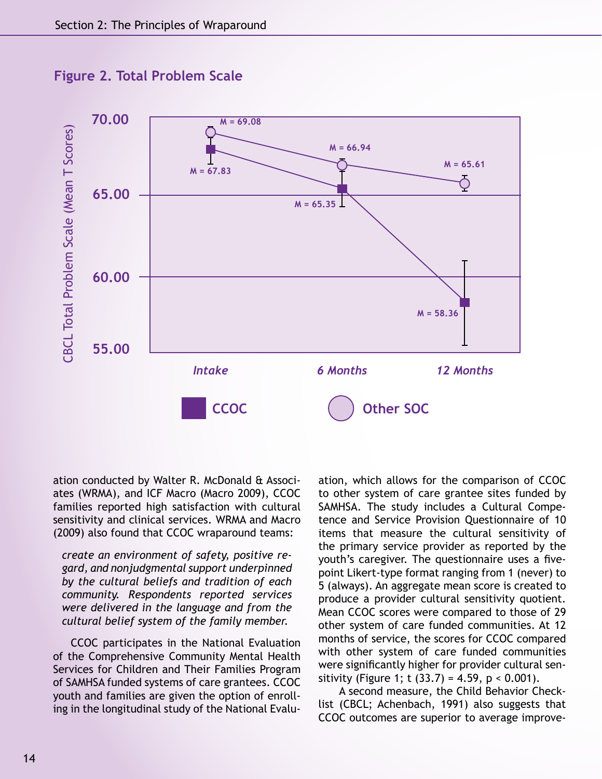

**Figure 2. Total Problem Scale**

ation conducted by Walter R. McDonald & Associates (WRMA), and ICF Macro (Macro 2009), CCOC families reported high satisfaction with cultural sensitivity and clinical services. WRMA and Macro (2009) also found that CCOC wraparound teams:

*create an environment of safety, positive regard, and nonjudgmental support underpinned by the cultural beliefs and tradition of each community. Respondents reported services were delivered in the language and from the cultural belief system of the family member.* 

CCOC participates in the National Evaluation of the Comprehensive Community Mental Health Services for Children and Their Families Program of SAMHSA funded systems of care grantees. CCOC youth and families are given the option of enrolling in the longitudinal study of the National Evalu-

ation, which allows for the comparison of CCOC to other system of care grantee sites funded by SAMHSA. The study includes a Cultural Competence and Service Provision Questionnaire of 10 items that measure the cultural sensitivity of the primary service provider as reported by the youth's caregiver. The questionnaire uses a fivepoint Likert-type format ranging from 1 (never) to 5 (always). An aggregate mean score is created to produce a provider cultural sensitivity quotient. Mean CCOC scores were compared to those of 29 other system of care funded communities. At 12 months of service, the scores for CCOC compared with other system of care funded communities were significantly higher for provider cultural sensitivity (Figure 1; t  $(33.7) = 4.59$ , p < 0.001).

 A second measure, the Child Behavior Checklist (CBCL; Achenbach, 1991) also suggests that CCOC outcomes are superior to average improve-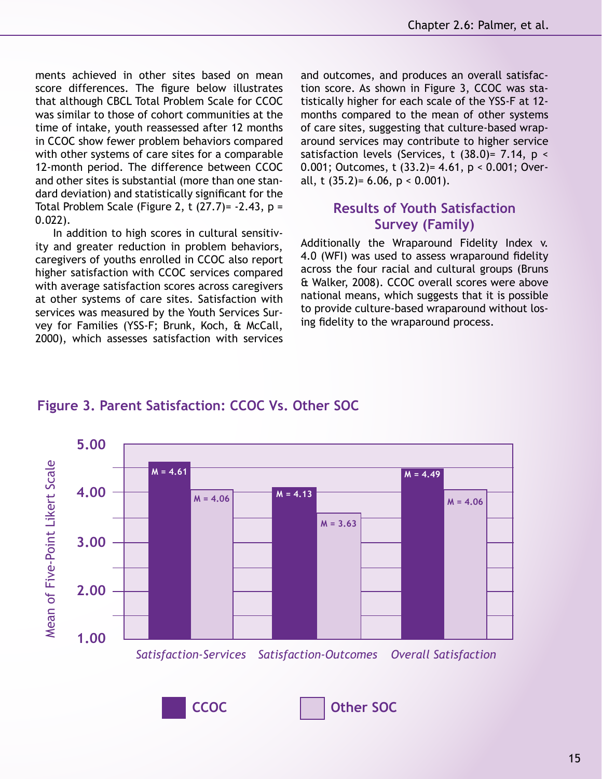ments achieved in other sites based on mean score differences. The figure below illustrates that although CBCL Total Problem Scale for CCOC was similar to those of cohort communities at the time of intake, youth reassessed after 12 months in CCOC show fewer problem behaviors compared with other systems of care sites for a comparable 12-month period. The difference between CCOC and other sites is substantial (more than one standard deviation) and statistically significant for the Total Problem Scale (Figure 2, t  $(27.7)$ = -2.43, p = 0.022).

In addition to high scores in cultural sensitivity and greater reduction in problem behaviors, caregivers of youths enrolled in CCOC also report higher satisfaction with CCOC services compared with average satisfaction scores across caregivers at other systems of care sites. Satisfaction with services was measured by the Youth Services Survey for Families (YSS-F; Brunk, Koch, & McCall, 2000), which assesses satisfaction with services and outcomes, and produces an overall satisfaction score. As shown in Figure 3, CCOC was statistically higher for each scale of the YSS-F at 12 months compared to the mean of other systems of care sites, suggesting that culture-based wraparound services may contribute to higher service satisfaction levels (Services, t  $(38.0)$ = 7.14, p < 0.001; Outcomes, t (33.2)= 4.61, p < 0.001; Overall, t  $(35.2) = 6.06$ ,  $p < 0.001$ ).

# **Results of Youth Satisfaction Survey (Family)**

Additionally the Wraparound Fidelity Index v. 4.0 (WFI) was used to assess wraparound fidelity across the four racial and cultural groups (Bruns & Walker, 2008). CCOC overall scores were above national means, which suggests that it is possible to provide culture-based wraparound without losing fidelity to the wraparound process.



# **Figure 3. Parent Satisfaction: CCOC Vs. Other SOC**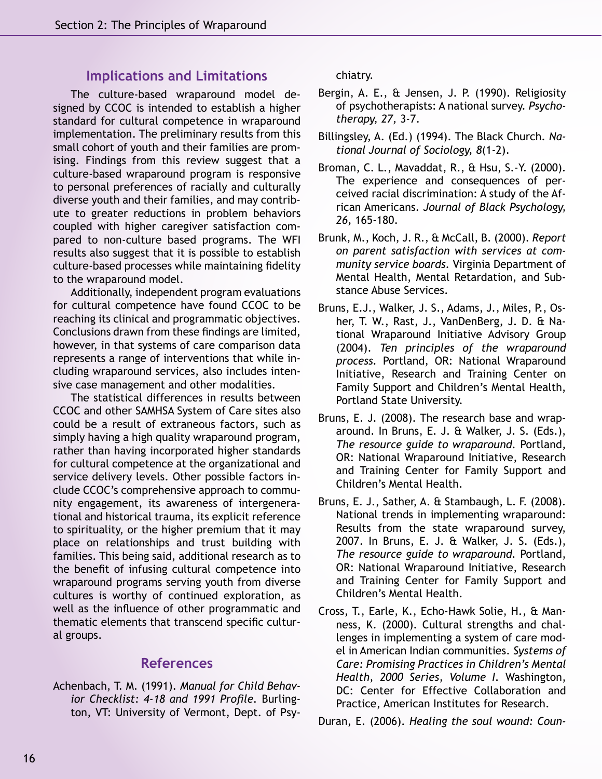## **Implications and Limitations**

The culture-based wraparound model designed by CCOC is intended to establish a higher standard for cultural competence in wraparound implementation. The preliminary results from this small cohort of youth and their families are promising. Findings from this review suggest that a culture-based wraparound program is responsive to personal preferences of racially and culturally diverse youth and their families, and may contribute to greater reductions in problem behaviors coupled with higher caregiver satisfaction compared to non-culture based programs. The WFI results also suggest that it is possible to establish culture-based processes while maintaining fidelity to the wraparound model.

Additionally, independent program evaluations for cultural competence have found CCOC to be reaching its clinical and programmatic objectives. Conclusions drawn from these findings are limited, however, in that systems of care comparison data represents a range of interventions that while including wraparound services, also includes intensive case management and other modalities.

The statistical differences in results between CCOC and other SAMHSA System of Care sites also could be a result of extraneous factors, such as simply having a high quality wraparound program, rather than having incorporated higher standards for cultural competence at the organizational and service delivery levels. Other possible factors include CCOC's comprehensive approach to community engagement, its awareness of intergenerational and historical trauma, its explicit reference to spirituality, or the higher premium that it may place on relationships and trust building with families. This being said, additional research as to the benefit of infusing cultural competence into wraparound programs serving youth from diverse cultures is worthy of continued exploration, as well as the influence of other programmatic and thematic elements that transcend specific cultural groups.

# **References**

Achenbach, T. M. (1991). *Manual for Child Behavior Checklist: 4-18 and 1991 Profile.* Burlington, VT: University of Vermont, Dept. of Psychiatry.

- Bergin, A. E., & Jensen, J. P. (1990). Religiosity of psychotherapists: A national survey. *Psychotherapy, 27,* 3-7.
- Billingsley, A. (Ed.) (1994). The Black Church. *National Journal of Sociology, 8*(1-2).
- Broman, C. L., Mavaddat, R., & Hsu, S.-Y. (2000). The experience and consequences of perceived racial discrimination: A study of the African Americans. *Journal of Black Psychology, 26,* 165-180.
- Brunk, M., Koch, J. R., & McCall, B. (2000). *Report on parent satisfaction with services at community service boards.* Virginia Department of Mental Health, Mental Retardation, and Substance Abuse Services.
- Bruns, E.J., Walker, J. S., Adams, J., Miles, P., Osher, T. W., Rast, J., VanDenBerg, J. D. & National Wraparound Initiative Advisory Group (2004). *Ten principles of the wraparound process.* Portland, OR: National Wraparound Initiative, Research and Training Center on Family Support and Children's Mental Health, Portland State University.
- Bruns, E. J. (2008). The research base and wraparound. In Bruns, E. J. & Walker, J. S. (Eds.), *The resource guide to wraparound.* Portland, OR: National Wraparound Initiative, Research and Training Center for Family Support and Children's Mental Health.
- Bruns, E. J., Sather, A. & Stambaugh, L. F. (2008). National trends in implementing wraparound: Results from the state wraparound survey, 2007. In Bruns, E. J. & Walker, J. S. (Eds.), *The resource guide to wraparound.* Portland, OR: National Wraparound Initiative, Research and Training Center for Family Support and Children's Mental Health.
- Cross, T., Earle, K., Echo-Hawk Solie, H., & Manness, K. (2000). Cultural strengths and challenges in implementing a system of care model in American Indian communities. *Systems of Care: Promising Practices in Children's Mental Health, 2000 Series, Volume I.* Washington, DC: Center for Effective Collaboration and Practice, American Institutes for Research.

Duran, E. (2006). *Healing the soul wound: Coun-*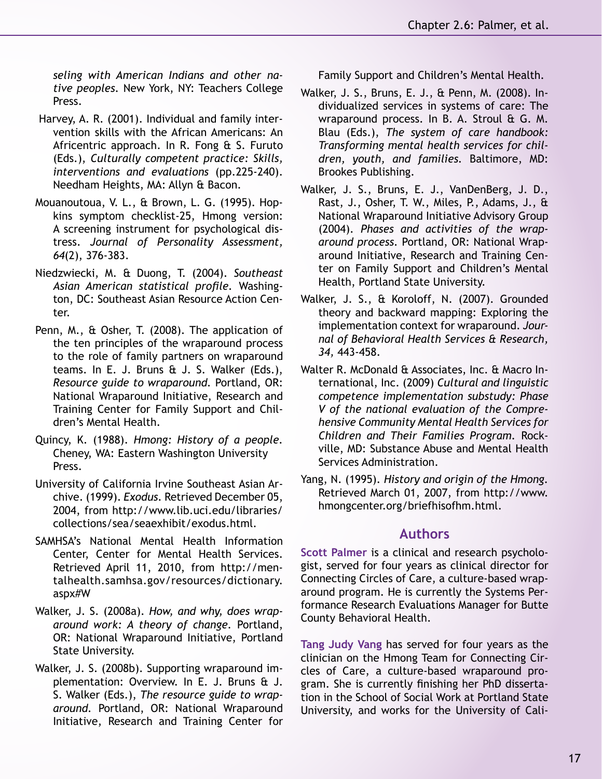*seling with American Indians and other native peoples.* New York, NY: Teachers College Press.

- Harvey, A. R. (2001). Individual and family intervention skills with the African Americans: An Africentric approach. In R. Fong & S. Furuto (Eds.), *Culturally competent practice: Skills, interventions and evaluations* (pp.225-240). Needham Heights, MA: Allyn & Bacon.
- Mouanoutoua, V. L., & Brown, L. G. (1995). Hopkins symptom checklist-25, Hmong version: A screening instrument for psychological distress. *Journal of Personality Assessment, 64*(2), 376-383.
- Niedzwiecki, M. & Duong, T. (2004). *Southeast Asian American statistical profile.* Washington, DC: Southeast Asian Resource Action Center.
- Penn, M., & Osher, T. (2008). The application of the ten principles of the wraparound process to the role of family partners on wraparound teams. In E. J. Bruns & J. S. Walker (Eds.), *Resource guide to wraparound.* Portland, OR: National Wraparound Initiative, Research and Training Center for Family Support and Children's Mental Health.
- Quincy, K. (1988). *Hmong: History of a people.*  Cheney, WA: Eastern Washington University Press.
- University of California Irvine Southeast Asian Archive. (1999). *Exodus.* Retrieved December 05, 2004, from http://www.lib.uci.edu/libraries/ collections/sea/seaexhibit/exodus.html.
- SAMHSA's National Mental Health Information Center, Center for Mental Health Services. Retrieved April 11, 2010, from http://mentalhealth.samhsa.gov/resources/dictionary. aspx#W
- Walker, J. S. (2008a). *How, and why, does wraparound work: A theory of change.* Portland, OR: National Wraparound Initiative, Portland State University.
- Walker, J. S. (2008b). Supporting wraparound implementation: Overview. In E. J. Bruns & J. S. Walker (Eds.), *The resource guide to wraparound.* Portland, OR: National Wraparound Initiative, Research and Training Center for

Family Support and Children's Mental Health.

- Walker, J. S., Bruns, E. J., & Penn, M. (2008). Individualized services in systems of care: The wraparound process. In B. A. Stroul & G. M. Blau (Eds.), *The system of care handbook: Transforming mental health services for children, youth, and families.* Baltimore, MD: Brookes Publishing.
- Walker, J. S., Bruns, E. J., VanDenBerg, J. D., Rast, J., Osher, T. W., Miles, P., Adams, J., & National Wraparound Initiative Advisory Group (2004). *Phases and activities of the wraparound process.* Portland, OR: National Wraparound Initiative, Research and Training Center on Family Support and Children's Mental Health, Portland State University.
- Walker, J. S., & Koroloff, N. (2007). Grounded theory and backward mapping: Exploring the implementation context for wraparound. *Journal of Behavioral Health Services & Research, 34,* 443-458.
- Walter R. McDonald & Associates, Inc. & Macro International, Inc. (2009) *Cultural and linguistic competence implementation substudy: Phase V of the national evaluation of the Comprehensive Community Mental Health Services for Children and Their Families Program.* Rockville, MD: Substance Abuse and Mental Health Services Administration.
- Yang, N. (1995). *History and origin of the Hmong.*  Retrieved March 01, 2007, from http://www. hmongcenter.org/briefhisofhm.html.

# **Authors**

**Scott Palmer** is a clinical and research psychologist, served for four years as clinical director for Connecting Circles of Care, a culture-based wraparound program. He is currently the Systems Performance Research Evaluations Manager for Butte County Behavioral Health.

**Tang Judy Vang** has served for four years as the clinician on the Hmong Team for Connecting Circles of Care, a culture-based wraparound program. She is currently finishing her PhD dissertation in the School of Social Work at Portland State University, and works for the University of Cali